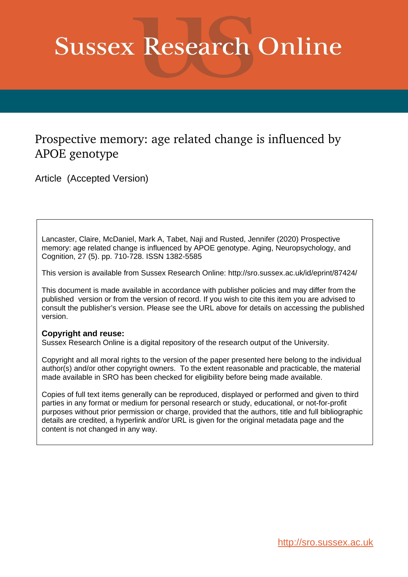# **Sussex Research Online**

# Prospective memory: age related change is influenced by APOE genotype

Article (Accepted Version)

Lancaster, Claire, McDaniel, Mark A, Tabet, Naji and Rusted, Jennifer (2020) Prospective memory: age related change is influenced by APOE genotype. Aging, Neuropsychology, and Cognition, 27 (5). pp. 710-728. ISSN 1382-5585

This version is available from Sussex Research Online: http://sro.sussex.ac.uk/id/eprint/87424/

This document is made available in accordance with publisher policies and may differ from the published version or from the version of record. If you wish to cite this item you are advised to consult the publisher's version. Please see the URL above for details on accessing the published version.

# **Copyright and reuse:**

Sussex Research Online is a digital repository of the research output of the University.

Copyright and all moral rights to the version of the paper presented here belong to the individual author(s) and/or other copyright owners. To the extent reasonable and practicable, the material made available in SRO has been checked for eligibility before being made available.

Copies of full text items generally can be reproduced, displayed or performed and given to third parties in any format or medium for personal research or study, educational, or not-for-profit purposes without prior permission or charge, provided that the authors, title and full bibliographic details are credited, a hyperlink and/or URL is given for the original metadata page and the content is not changed in any way.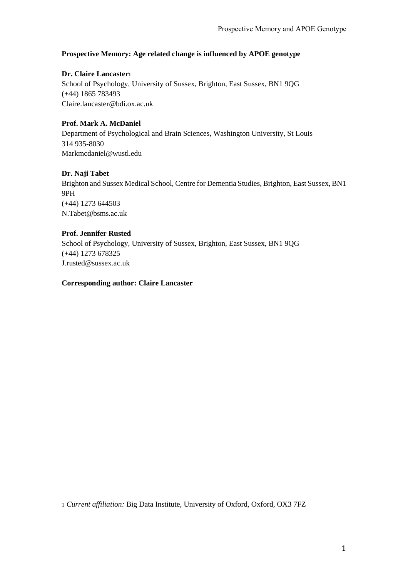# **Prospective Memory: Age related change is influenced by APOE genotype**

**Dr. Claire Lancaster<sup>1</sup>** School of Psychology, University of Sussex, Brighton, East Sussex, BN1 9QG (+44) 1865 783493 Claire.lancaster@bdi.ox.ac.uk

# **Prof. Mark A. McDaniel**

Department of Psychological and Brain Sciences, Washington University, St Louis 314 935-8030 Markmcdaniel@wustl.edu

# **Dr. Naji Tabet**

Brighton and Sussex Medical School, Centre for Dementia Studies, Brighton, East Sussex, BN1 9PH (+44) 1273 644503 N.Tabet@bsms.ac.uk

# **Prof. Jennifer Rusted**

School of Psychology, University of Sussex, Brighton, East Sussex, BN1 9QG (+44) 1273 678325 J.rusted@sussex.ac.uk

### **Corresponding author: Claire Lancaster**

1 *Current affiliation:* Big Data Institute, University of Oxford, Oxford, OX3 7FZ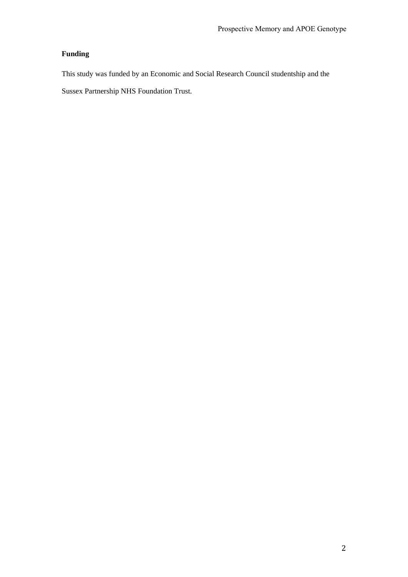# **Funding**

This study was funded by an Economic and Social Research Council studentship and the

Sussex Partnership NHS Foundation Trust.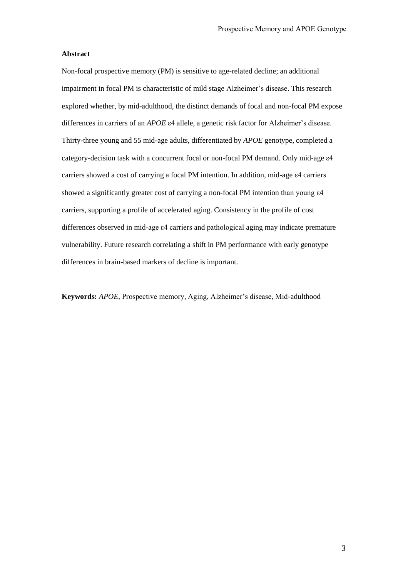#### **Abstract**

Non-focal prospective memory (PM) is sensitive to age-related decline; an additional impairment in focal PM is characteristic of mild stage Alzheimer's disease. This research explored whether, by mid-adulthood, the distinct demands of focal and non-focal PM expose differences in carriers of an *APOE* ε4 allele, a genetic risk factor for Alzheimer's disease. Thirty-three young and 55 mid-age adults, differentiated by *APOE* genotype, completed a category-decision task with a concurrent focal or non-focal PM demand. Only mid-age ε4 carriers showed a cost of carrying a focal PM intention. In addition, mid-age ε4 carriers showed a significantly greater cost of carrying a non-focal PM intention than young ε4 carriers, supporting a profile of accelerated aging. Consistency in the profile of cost differences observed in mid-age ε4 carriers and pathological aging may indicate premature vulnerability. Future research correlating a shift in PM performance with early genotype differences in brain-based markers of decline is important.

**Keywords:** *APOE,* Prospective memory, Aging, Alzheimer's disease, Mid-adulthood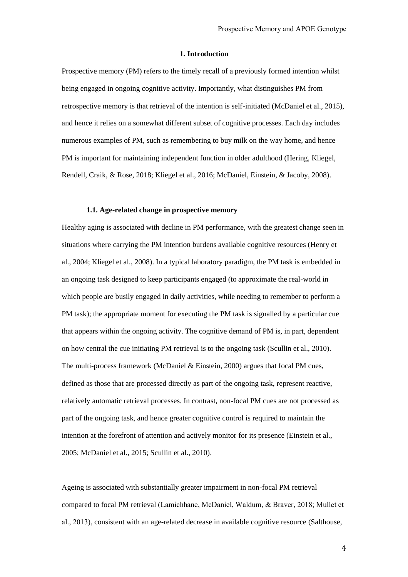#### **1. Introduction**

Prospective memory (PM) refers to the timely recall of a previously formed intention whilst being engaged in ongoing cognitive activity. Importantly, what distinguishes PM from retrospective memory is that retrieval of the intention is self-initiated (McDaniel et al., 2015), and hence it relies on a somewhat different subset of cognitive processes. Each day includes numerous examples of PM, such as remembering to buy milk on the way home, and hence PM is important for maintaining independent function in older adulthood (Hering, Kliegel, Rendell, Craik, & Rose, 2018; Kliegel et al., 2016; McDaniel, Einstein, & Jacoby, 2008).

#### **1.1. Age-related change in prospective memory**

Healthy aging is associated with decline in PM performance, with the greatest change seen in situations where carrying the PM intention burdens available cognitive resources (Henry et al., 2004; Kliegel et al., 2008). In a typical laboratory paradigm, the PM task is embedded in an ongoing task designed to keep participants engaged (to approximate the real-world in which people are busily engaged in daily activities, while needing to remember to perform a PM task); the appropriate moment for executing the PM task is signalled by a particular cue that appears within the ongoing activity. The cognitive demand of PM is, in part, dependent on how central the cue initiating PM retrieval is to the ongoing task (Scullin et al., 2010). The multi-process framework (McDaniel & Einstein, 2000) argues that focal PM cues, defined as those that are processed directly as part of the ongoing task, represent reactive, relatively automatic retrieval processes. In contrast, non-focal PM cues are not processed as part of the ongoing task, and hence greater cognitive control is required to maintain the intention at the forefront of attention and actively monitor for its presence (Einstein et al., 2005; McDaniel et al., 2015; Scullin et al., 2010).

Ageing is associated with substantially greater impairment in non-focal PM retrieval compared to focal PM retrieval (Lamichhane, McDaniel, Waldum, & Braver, 2018; Mullet et al., 2013), consistent with an age-related decrease in available cognitive resource (Salthouse,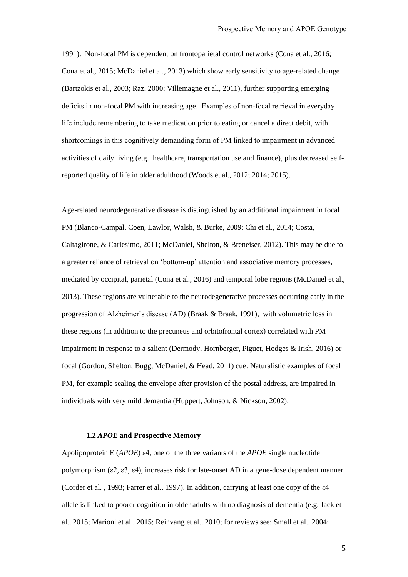1991). Non-focal PM is dependent on frontoparietal control networks (Cona et al., 2016; Cona et al., 2015; McDaniel et al., 2013) which show early sensitivity to age-related change (Bartzokis et al., 2003; Raz, 2000; Villemagne et al., 2011), further supporting emerging deficits in non-focal PM with increasing age. Examples of non-focal retrieval in everyday life include remembering to take medication prior to eating or cancel a direct debit, with shortcomings in this cognitively demanding form of PM linked to impairment in advanced activities of daily living (e.g. healthcare, transportation use and finance), plus decreased selfreported quality of life in older adulthood (Woods et al., 2012; 2014; 2015).

Age-related neurodegenerative disease is distinguished by an additional impairment in focal PM (Blanco-Campal, Coen, Lawlor, Walsh, & Burke, 2009; Chi et al., 2014; Costa, Caltagirone, & Carlesimo, 2011; McDaniel, Shelton, & Breneiser, 2012). This may be due to a greater reliance of retrieval on 'bottom-up' attention and associative memory processes, mediated by occipital, parietal (Cona et al., 2016) and temporal lobe regions (McDaniel et al., 2013). These regions are vulnerable to the neurodegenerative processes occurring early in the progression of Alzheimer's disease (AD) (Braak & Braak, 1991), with volumetric loss in these regions (in addition to the precuneus and orbitofrontal cortex) correlated with PM impairment in response to a salient (Dermody, Hornberger, Piguet, Hodges & Irish, 2016) or focal (Gordon, Shelton, Bugg, McDaniel, & Head, 2011) cue. Naturalistic examples of focal PM, for example sealing the envelope after provision of the postal address, are impaired in individuals with very mild dementia (Huppert, Johnson, & Nickson, 2002).

#### **1.2** *APOE* **and Prospective Memory**

Apolipoprotein E (*APOE*) ε4, one of the three variants of the *APOE* single nucleotide polymorphism (ε2, ε3, ε4), increases risk for late-onset AD in a gene-dose dependent manner (Corder et al. , 1993; Farrer et al., 1997). In addition, carrying at least one copy of the ε4 allele is linked to poorer cognition in older adults with no diagnosis of dementia (e.g. Jack et al., 2015; Marioni et al., 2015; Reinvang et al., 2010; for reviews see: Small et al., 2004;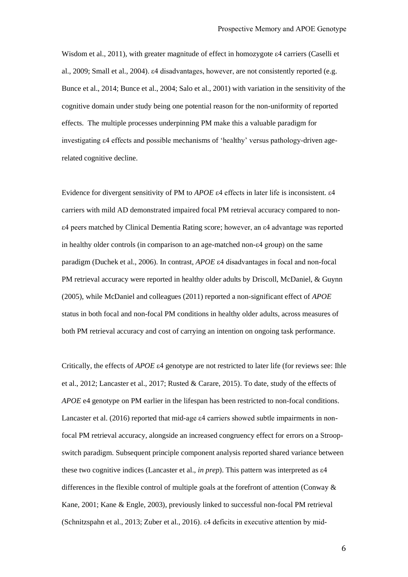Wisdom et al., 2011), with greater magnitude of effect in homozygote  $\varepsilon$ 4 carriers (Caselli et al., 2009; Small et al., 2004). ε4 disadvantages, however, are not consistently reported (e.g. Bunce et al., 2014; Bunce et al., 2004; Salo et al., 2001) with variation in the sensitivity of the cognitive domain under study being one potential reason for the non-uniformity of reported effects. The multiple processes underpinning PM make this a valuable paradigm for investigating ε4 effects and possible mechanisms of 'healthy' versus pathology-driven agerelated cognitive decline.

Evidence for divergent sensitivity of PM to *APOE* ε4 effects in later life is inconsistent. ε4 carriers with mild AD demonstrated impaired focal PM retrieval accuracy compared to nonε4 peers matched by Clinical Dementia Rating score; however, an ε4 advantage was reported in healthy older controls (in comparison to an age-matched non-ε4 group) on the same paradigm (Duchek et al., 2006). In contrast, *APOE* ε4 disadvantages in focal and non-focal PM retrieval accuracy were reported in healthy older adults by Driscoll, McDaniel, & Guynn (2005), while McDaniel and colleagues (2011) reported a non-significant effect of *APOE*  status in both focal and non-focal PM conditions in healthy older adults, across measures of both PM retrieval accuracy and cost of carrying an intention on ongoing task performance.

Critically, the effects of *APOE* ε4 genotype are not restricted to later life (for reviews see: Ihle et al., 2012; Lancaster et al., 2017; Rusted & Carare, 2015). To date, study of the effects of *APOE* e4 genotype on PM earlier in the lifespan has been restricted to non-focal conditions. Lancaster et al. (2016) reported that mid-age ε4 carriers showed subtle impairments in nonfocal PM retrieval accuracy, alongside an increased congruency effect for errors on a Stroopswitch paradigm. Subsequent principle component analysis reported shared variance between these two cognitive indices (Lancaster et al., *in prep*). This pattern was interpreted as ε4 differences in the flexible control of multiple goals at the forefront of attention (Conway & Kane, 2001; Kane & Engle, 2003), previously linked to successful non-focal PM retrieval (Schnitzspahn et al., 2013; Zuber et al., 2016). ε4 deficits in executive attention by mid-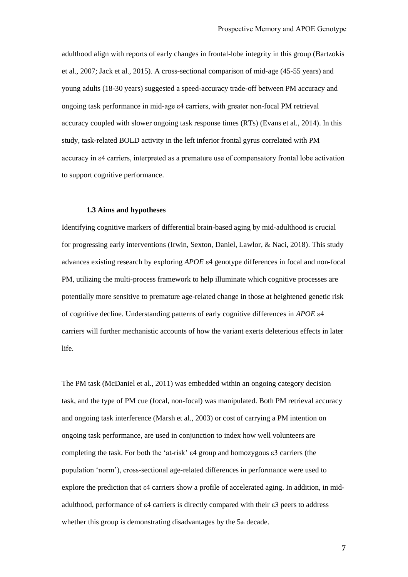adulthood align with reports of early changes in frontal-lobe integrity in this group (Bartzokis et al., 2007; Jack et al., 2015). A cross-sectional comparison of mid-age (45-55 years) and young adults (18-30 years) suggested a speed-accuracy trade-off between PM accuracy and ongoing task performance in mid-age ε4 carriers, with greater non-focal PM retrieval accuracy coupled with slower ongoing task response times (RTs) (Evans et al., 2014). In this study, task-related BOLD activity in the left inferior frontal gyrus correlated with PM accuracy in ε4 carriers, interpreted as a premature use of compensatory frontal lobe activation to support cognitive performance.

#### **1.3 Aims and hypotheses**

Identifying cognitive markers of differential brain-based aging by mid-adulthood is crucial for progressing early interventions (Irwin, Sexton, Daniel, Lawlor, & Naci, 2018). This study advances existing research by exploring *APOE* ε4 genotype differences in focal and non-focal PM, utilizing the multi-process framework to help illuminate which cognitive processes are potentially more sensitive to premature age-related change in those at heightened genetic risk of cognitive decline. Understanding patterns of early cognitive differences in *APOE* ε4 carriers will further mechanistic accounts of how the variant exerts deleterious effects in later life.

The PM task (McDaniel et al., 2011) was embedded within an ongoing category decision task, and the type of PM cue (focal, non-focal) was manipulated. Both PM retrieval accuracy and ongoing task interference (Marsh et al., 2003) or cost of carrying a PM intention on ongoing task performance, are used in conjunction to index how well volunteers are completing the task. For both the 'at-risk' ε4 group and homozygous ε3 carriers (the population 'norm'), cross-sectional age-related differences in performance were used to explore the prediction that ε4 carriers show a profile of accelerated aging. In addition, in midadulthood, performance of ε4 carriers is directly compared with their ε3 peers to address whether this group is demonstrating disadvantages by the 5th decade.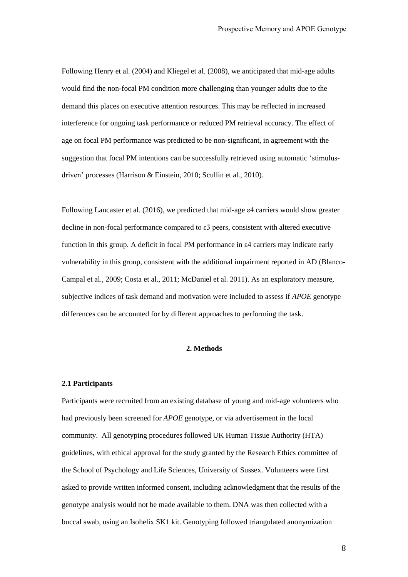Following Henry et al. (2004) and Kliegel et al. (2008), we anticipated that mid-age adults would find the non-focal PM condition more challenging than younger adults due to the demand this places on executive attention resources. This may be reflected in increased interference for ongoing task performance or reduced PM retrieval accuracy. The effect of age on focal PM performance was predicted to be non-significant, in agreement with the suggestion that focal PM intentions can be successfully retrieved using automatic 'stimulusdriven' processes (Harrison & Einstein, 2010; Scullin et al., 2010).

Following Lancaster et al. (2016), we predicted that mid-age ε4 carriers would show greater decline in non-focal performance compared to ε3 peers, consistent with altered executive function in this group. A deficit in focal PM performance in ε4 carriers may indicate early vulnerability in this group, consistent with the additional impairment reported in AD (Blanco-Campal et al., 2009; Costa et al., 2011; McDaniel et al. 2011). As an exploratory measure, subjective indices of task demand and motivation were included to assess if *APOE* genotype differences can be accounted for by different approaches to performing the task.

#### **2. Methods**

#### **2.1 Participants**

Participants were recruited from an existing database of young and mid-age volunteers who had previously been screened for *APOE* genotype, or via advertisement in the local community. All genotyping procedures followed UK Human Tissue Authority (HTA) guidelines, with ethical approval for the study granted by the Research Ethics committee of the School of Psychology and Life Sciences, University of Sussex. Volunteers were first asked to provide written informed consent, including acknowledgment that the results of the genotype analysis would not be made available to them. DNA was then collected with a buccal swab, using an Isohelix SK1 kit. Genotyping followed triangulated anonymization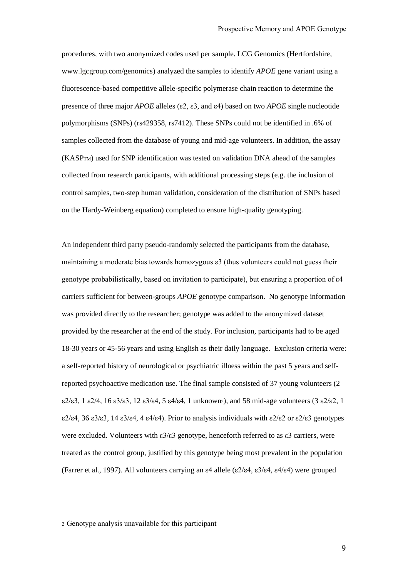procedures, with two anonymized codes used per sample. LCG Genomics (Hertfordshire, [www.lgcgroup.com/genomics\)](http://www.lgcgroup.com/genomics) analyzed the samples to identify *APOE* gene variant using a fluorescence-based competitive allele-specific polymerase chain reaction to determine the presence of three major *APOE* alleles (ε2, ε3, and ε4) based on two *APOE* single nucleotide polymorphisms (SNPs) (rs429358, rs7412). These SNPs could not be identified in .6% of samples collected from the database of young and mid-age volunteers. In addition, the assay (KASPTM) used for SNP identification was tested on validation DNA ahead of the samples collected from research participants, with additional processing steps (e.g. the inclusion of control samples, two-step human validation, consideration of the distribution of SNPs based on the Hardy-Weinberg equation) completed to ensure high-quality genotyping.

An independent third party pseudo-randomly selected the participants from the database, maintaining a moderate bias towards homozygous ε3 (thus volunteers could not guess their genotype probabilistically, based on invitation to participate), but ensuring a proportion of ε4 carriers sufficient for between-groups *APOE* genotype comparison. No genotype information was provided directly to the researcher; genotype was added to the anonymized dataset provided by the researcher at the end of the study. For inclusion, participants had to be aged 18-30 years or 45-56 years and using English as their daily language. Exclusion criteria were: a self-reported history of neurological or psychiatric illness within the past 5 years and selfreported psychoactive medication use. The final sample consisted of 37 young volunteers (2 ε2/ε3, 1 ε2/4, 16 ε3/ε3, 12 ε3/ε4, 5 ε4/ε4, 1 unknown2), and 58 mid-age volunteers (3 ε2/ε2, 1 ε2/ε4, 36 ε3/ε3, 14 ε3/ε4, 4 ε4/ε4). Prior to analysis individuals with ε2/ε2 or ε2/ε3 genotypes were excluded. Volunteers with  $\epsilon 3/\epsilon 3$  genotype, henceforth referred to as  $\epsilon 3$  carriers, were treated as the control group, justified by this genotype being most prevalent in the population (Farrer et al., 1997). All volunteers carrying an  $\varepsilon$ 4 allele ( $\varepsilon$ 2/ $\varepsilon$ 4,  $\varepsilon$ 3/ $\varepsilon$ 4,  $\varepsilon$ 4/ $\varepsilon$ 4) were grouped

2 Genotype analysis unavailable for this participant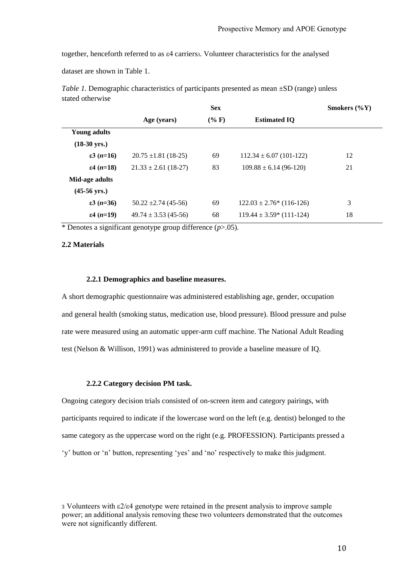together, henceforth referred to as ε4 carriers3. Volunteer characteristics for the analysed

dataset are shown in Table 1.

| statea other who             |                          | <b>Sex</b> |                             | Smokers $(\%Y)$ |
|------------------------------|--------------------------|------------|-----------------------------|-----------------|
|                              | Age (years)              | $(\% F)$   | <b>Estimated IO</b>         |                 |
| <b>Young adults</b>          |                          |            |                             |                 |
| $(18-30 \text{ yrs.})$       |                          |            |                             |                 |
| $\epsilon$ 3 ( <i>n</i> =16) | $20.75 \pm 1.81$ (18-25) | 69         | $112.34 \pm 6.07$ (101-122) | 12              |
| $\epsilon$ 4 ( <i>n</i> =18) | $21.33 \pm 2.61$ (18-27) | 83         | $109.88 \pm 6.14$ (96-120)  | 21              |
| Mid-age adults               |                          |            |                             |                 |
| $(45-56 \text{ yrs.})$       |                          |            |                             |                 |
| $\epsilon$ 3 ( <i>n</i> =36) | $50.22 \pm 2.74(45-56)$  | 69         | $122.03 \pm 2.76$ (116-126) | 3               |
| $\epsilon$ 4 ( <i>n</i> =19) | $49.74 \pm 3.53(45-56)$  | 68         | $119.44 \pm 3.59$ (111-124) | 18              |

*Table 1.* Demographic characteristics of participants presented as mean  $\pm SD$  (range) unless stated otherwise

\* Denotes a significant genotype group difference (*p*>.05).

#### **2.2 Materials**

#### **2.2.1 Demographics and baseline measures.**

A short demographic questionnaire was administered establishing age, gender, occupation and general health (smoking status, medication use, blood pressure). Blood pressure and pulse rate were measured using an automatic upper-arm cuff machine. The National Adult Reading test (Nelson & Willison, 1991) was administered to provide a baseline measure of IQ.

#### **2.2.2 Category decision PM task.**

Ongoing category decision trials consisted of on-screen item and category pairings, with participants required to indicate if the lowercase word on the left (e.g. dentist) belonged to the same category as the uppercase word on the right (e.g. PROFESSION). Participants pressed a 'y' button or 'n' button, representing 'yes' and 'no' respectively to make this judgment.

<sup>3</sup> Volunteers with ε2/ε4 genotype were retained in the present analysis to improve sample power; an additional analysis removing these two volunteers demonstrated that the outcomes were not significantly different.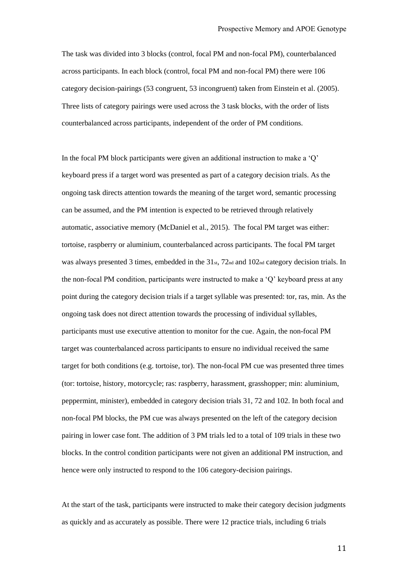The task was divided into 3 blocks (control, focal PM and non-focal PM), counterbalanced across participants. In each block (control, focal PM and non-focal PM) there were 106 category decision-pairings (53 congruent, 53 incongruent) taken from Einstein et al. (2005). Three lists of category pairings were used across the 3 task blocks, with the order of lists counterbalanced across participants, independent of the order of PM conditions.

In the focal PM block participants were given an additional instruction to make a  $\mathcal{O}'$ keyboard press if a target word was presented as part of a category decision trials. As the ongoing task directs attention towards the meaning of the target word, semantic processing can be assumed, and the PM intention is expected to be retrieved through relatively automatic, associative memory (McDaniel et al., 2015). The focal PM target was either: tortoise, raspberry or aluminium, counterbalanced across participants. The focal PM target was always presented 3 times, embedded in the  $31<sub>st</sub>$ ,  $72<sub>nd</sub>$  and  $102<sub>nd</sub>$  category decision trials. In the non-focal PM condition, participants were instructed to make a 'Q' keyboard press at any point during the category decision trials if a target syllable was presented: tor, ras, min. As the ongoing task does not direct attention towards the processing of individual syllables, participants must use executive attention to monitor for the cue. Again, the non-focal PM target was counterbalanced across participants to ensure no individual received the same target for both conditions (e.g. tortoise, tor). The non-focal PM cue was presented three times (tor: tortoise, history, motorcycle; ras: raspberry, harassment, grasshopper; min: aluminium, peppermint, minister), embedded in category decision trials 31, 72 and 102. In both focal and non-focal PM blocks, the PM cue was always presented on the left of the category decision pairing in lower case font. The addition of 3 PM trials led to a total of 109 trials in these two blocks. In the control condition participants were not given an additional PM instruction, and hence were only instructed to respond to the 106 category-decision pairings.

At the start of the task, participants were instructed to make their category decision judgments as quickly and as accurately as possible. There were 12 practice trials, including 6 trials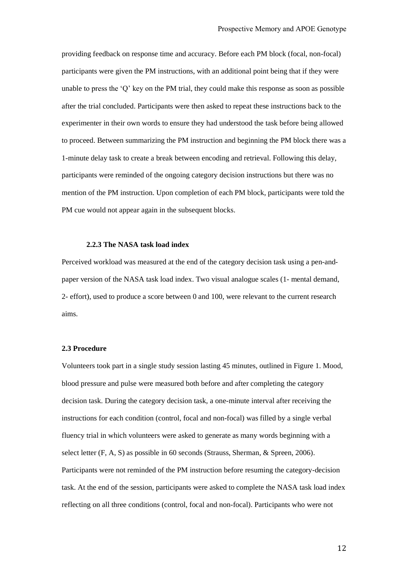providing feedback on response time and accuracy. Before each PM block (focal, non-focal) participants were given the PM instructions, with an additional point being that if they were unable to press the 'Q' key on the PM trial, they could make this response as soon as possible after the trial concluded. Participants were then asked to repeat these instructions back to the experimenter in their own words to ensure they had understood the task before being allowed to proceed. Between summarizing the PM instruction and beginning the PM block there was a 1-minute delay task to create a break between encoding and retrieval. Following this delay, participants were reminded of the ongoing category decision instructions but there was no mention of the PM instruction. Upon completion of each PM block, participants were told the PM cue would not appear again in the subsequent blocks.

#### **2.2.3 The NASA task load index**

Perceived workload was measured at the end of the category decision task using a pen-andpaper version of the NASA task load index. Two visual analogue scales (1- mental demand, 2- effort), used to produce a score between 0 and 100, were relevant to the current research aims.

#### **2.3 Procedure**

Volunteers took part in a single study session lasting 45 minutes, outlined in Figure 1. Mood, blood pressure and pulse were measured both before and after completing the category decision task. During the category decision task, a one-minute interval after receiving the instructions for each condition (control, focal and non-focal) was filled by a single verbal fluency trial in which volunteers were asked to generate as many words beginning with a select letter (F, A, S) as possible in 60 seconds (Strauss, Sherman, & Spreen, 2006). Participants were not reminded of the PM instruction before resuming the category-decision task. At the end of the session, participants were asked to complete the NASA task load index reflecting on all three conditions (control, focal and non-focal). Participants who were not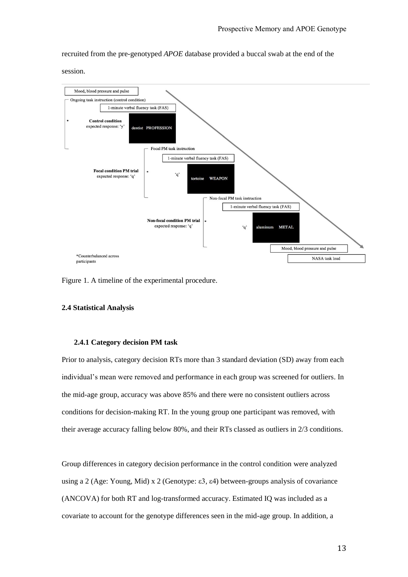recruited from the pre-genotyped *APOE* database provided a buccal swab at the end of the

session.



Figure 1. A timeline of the experimental procedure.

#### **2.4 Statistical Analysis**

#### **2.4.1 Category decision PM task**

Prior to analysis, category decision RTs more than 3 standard deviation (SD) away from each individual's mean were removed and performance in each group was screened for outliers. In the mid-age group, accuracy was above 85% and there were no consistent outliers across conditions for decision-making RT. In the young group one participant was removed, with their average accuracy falling below 80%, and their RTs classed as outliers in 2/3 conditions.

Group differences in category decision performance in the control condition were analyzed using a 2 (Age: Young, Mid) x 2 (Genotype: ε3, ε4) between-groups analysis of covariance (ANCOVA) for both RT and log-transformed accuracy. Estimated IQ was included as a covariate to account for the genotype differences seen in the mid-age group. In addition, a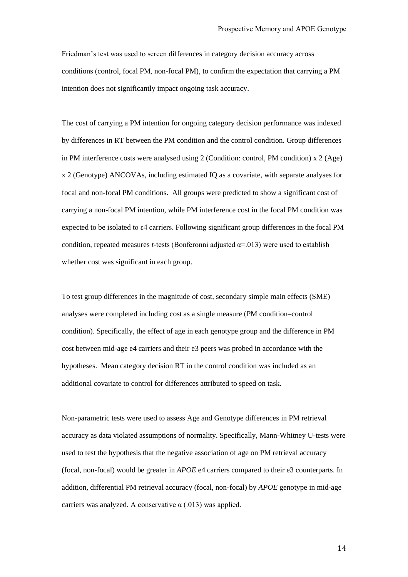Friedman's test was used to screen differences in category decision accuracy across conditions (control, focal PM, non-focal PM), to confirm the expectation that carrying a PM intention does not significantly impact ongoing task accuracy.

The cost of carrying a PM intention for ongoing category decision performance was indexed by differences in RT between the PM condition and the control condition. Group differences in PM interference costs were analysed using 2 (Condition: control, PM condition) x 2 (Age) x 2 (Genotype) ANCOVAs, including estimated IQ as a covariate, with separate analyses for focal and non-focal PM conditions. All groups were predicted to show a significant cost of carrying a non-focal PM intention, while PM interference cost in the focal PM condition was expected to be isolated to ε4 carriers. Following significant group differences in the focal PM condition, repeated measures *t-*tests (Bonferonni adjusted α=.013) were used to establish whether cost was significant in each group.

To test group differences in the magnitude of cost, secondary simple main effects (SME) analyses were completed including cost as a single measure (PM condition–control condition). Specifically, the effect of age in each genotype group and the difference in PM cost between mid-age e4 carriers and their e3 peers was probed in accordance with the hypotheses. Mean category decision RT in the control condition was included as an additional covariate to control for differences attributed to speed on task.

Non-parametric tests were used to assess Age and Genotype differences in PM retrieval accuracy as data violated assumptions of normality. Specifically, Mann-Whitney U-tests were used to test the hypothesis that the negative association of age on PM retrieval accuracy (focal, non-focal) would be greater in *APOE* e4 carriers compared to their e3 counterparts. In addition, differential PM retrieval accuracy (focal, non-focal) by *APOE* genotype in mid-age carriers was analyzed. A conservative  $\alpha$  (.013) was applied.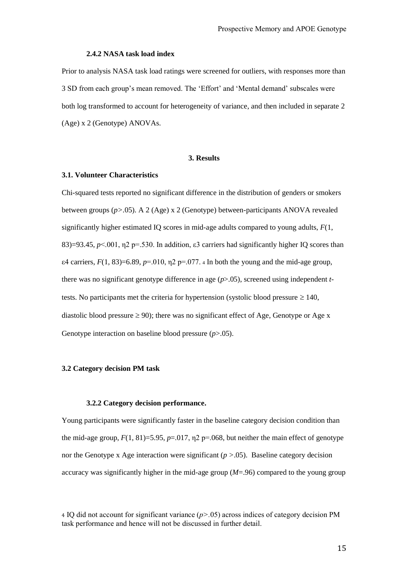#### **2.4.2 NASA task load index**

Prior to analysis NASA task load ratings were screened for outliers, with responses more than 3 SD from each group's mean removed. The 'Effort' and 'Mental demand' subscales were both log transformed to account for heterogeneity of variance, and then included in separate 2 (Age) x 2 (Genotype) ANOVAs.

#### **3. Results**

#### **3.1. Volunteer Characteristics**

Chi-squared tests reported no significant difference in the distribution of genders or smokers between groups (*p>.*05). A 2 (Age) x 2 (Genotype) between-participants ANOVA revealed significantly higher estimated IQ scores in mid-age adults compared to young adults,  $F(1, 1)$ 83)=93.45,  $p<.001$ ,  $p=530$ . In addition,  $\varepsilon$ 3 carriers had significantly higher IO scores than  $\varepsilon$ 4 carriers,  $F(1, 83)$ =6.89,  $p=0.010$ ,  $p=0.077$ . 4 In both the young and the mid-age group, there was no significant genotype difference in age (*p*>.05), screened using independent *t*tests. No participants met the criteria for hypertension (systolic blood pressure  $\geq 140$ , diastolic blood pressure  $\geq 90$ ); there was no significant effect of Age, Genotype or Age x Genotype interaction on baseline blood pressure (*p*>.05).

#### **3.2 Category decision PM task**

#### **3.2.2 Category decision performance.**

Young participants were significantly faster in the baseline category decision condition than the mid-age group,  $F(1, 81)=5.95$ ,  $p=.017$ ,  $n2$   $p=.068$ , but neither the main effect of genotype nor the Genotype x Age interaction were significant (*p >*.05). Baseline category decision accuracy was significantly higher in the mid-age group (*M*=.96) compared to the young group

<sup>4</sup> IQ did not account for significant variance (*p>.*05) across indices of category decision PM task performance and hence will not be discussed in further detail.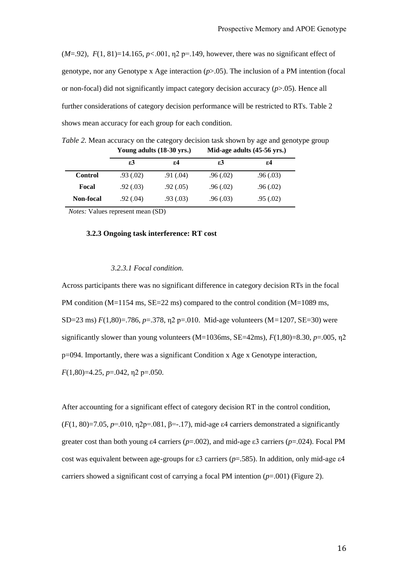(*M*=.92), *F*(1, 81)=14.165, *p<*.001, η2 p=.149, however, there was no significant effect of genotype, nor any Genotype x Age interaction  $(p>0.05)$ . The inclusion of a PM intention (focal or non-focal) did not significantly impact category decision accuracy (*p*>.05). Hence all further considerations of category decision performance will be restricted to RTs. Table 2 shows mean accuracy for each group for each condition.

*Table 2.* Mean accuracy on the category decision task shown by age and genotype group **Young adults (18-30 yrs.) Mid-age adults (45-56 yrs.)**

|           | ε3        | ε4            | ε3        | ε4        |
|-----------|-----------|---------------|-----------|-----------|
| Control   | .93(0.02) | $.91 \,(.04)$ | .96(0.02) | .96(0.03) |
| Focal     | .92(0.03) | .92(0.05)     | .96(0.02) | .96(0.02) |
| Non-focal | .92(0.04) | .93(0.03)     | .96(.03)  | .95(.02)  |

*Notes:* Values represent mean (SD)

#### **3.2.3 Ongoing task interference: RT cost**

#### *3.2.3.1 Focal condition.*

Across participants there was no significant difference in category decision RTs in the focal PM condition ( $M=1154$  ms,  $SE=22$  ms) compared to the control condition ( $M=1089$  ms, SD=23 ms) *F*(1,80)=.786, *p*=.378, η2 p=.010. Mid-age volunteers (M*=*1207, SE=30) were significantly slower than young volunteers (M=1036ms, SE=42ms),  $F(1,80)$ =8.30,  $p=0.005$ ,  $\eta$ 2 p=094. Importantly, there was a significant Condition x Age x Genotype interaction, *F*(1,80)=4.25, *p*=.042, η2 p=.050.

After accounting for a significant effect of category decision RT in the control condition, ( $F(1, 80) = 7.05$ ,  $p = .010$ ,  $p2p = .081$ ,  $\beta = .17$ ), mid-age  $\varepsilon$ 4 carriers demonstrated a significantly greater cost than both young ε4 carriers (*p*=.002), and mid-age ε3 carriers (*p*=.024). Focal PM cost was equivalent between age-groups for ε3 carriers (*p*=.585). In addition, only mid-age ε4 carriers showed a significant cost of carrying a focal PM intention (*p*=.001) (Figure 2).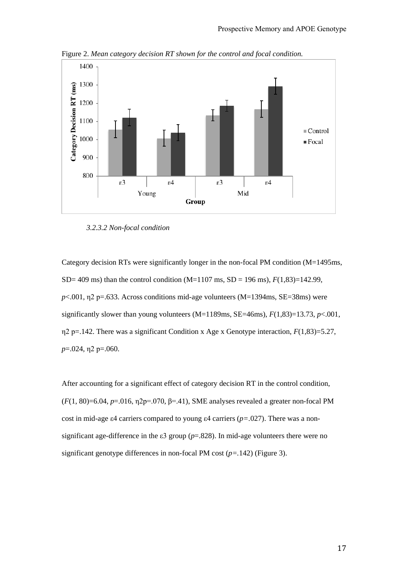

Figure 2. *Mean category decision RT shown for the control and focal condition.*

#### *3.2.3.2 Non-focal condition*

Category decision RTs were significantly longer in the non-focal PM condition (M=1495ms, SD= 409 ms) than the control condition (M=1107 ms, SD = 196 ms),  $F(1,83)$ =142.99,  $p<.001$ ,  $p<.033$ . Across conditions mid-age volunteers (M=1394ms, SE=38ms) were significantly slower than young volunteers  $(M=1189 \text{ms}, SE=46 \text{ms})$ ,  $F(1,83)=13.73$ ,  $p<.001$ , η2 p=.142. There was a significant Condition x Age x Genotype interaction, *F*(1,83)=5.27, *p*=.024, η2 p=.060.

After accounting for a significant effect of category decision RT in the control condition,  $(F(1, 80)=6.04, p=.016, \eta_2=0.070, \beta=.41)$ , SME analyses revealed a greater non-focal PM cost in mid-age ε4 carriers compared to young ε4 carriers (*p=.*027). There was a nonsignificant age-difference in the  $\varepsilon$ 3 group ( $p$ =.828). In mid-age volunteers there were no significant genotype differences in non-focal PM cost (*p=.*142) (Figure 3).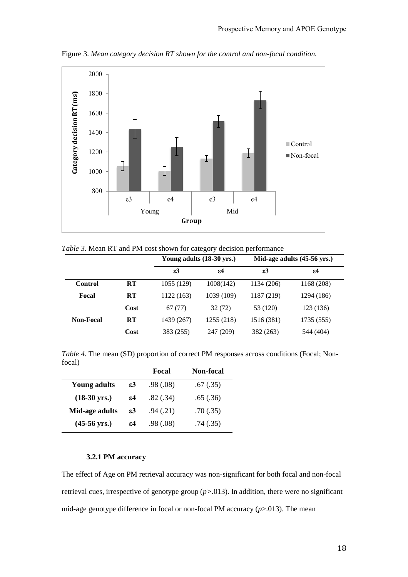

Figure 3. *Mean category decision RT shown for the control and non-focal condition.*

|  |  |  |  |  |  | Table 3. Mean RT and PM cost shown for category decision performance |  |
|--|--|--|--|--|--|----------------------------------------------------------------------|--|
|  |  |  |  |  |  |                                                                      |  |

|                  |           | Young adults (18-30 yrs.) |            | Mid-age adults (45-56 yrs.) |              |  |
|------------------|-----------|---------------------------|------------|-----------------------------|--------------|--|
|                  |           | $\epsilon$ 3              | 54         | $\varepsilon$ 3             | $\epsilon$ 4 |  |
| <b>Control</b>   | RT        | 1055 (129)                | 1008(142)  | 1134 (206)                  | 1168 (208)   |  |
| Focal            | <b>RT</b> | 1122 (163)                | 1039 (109) | 1187 (219)                  | 1294 (186)   |  |
|                  | Cost      | 67 (77)                   | 32(72)     | 53 (120)                    | 123 (136)    |  |
| <b>Non-Focal</b> | RT        | 1439 (267)                | 1255 (218) | 1516 (381)                  | 1735 (555)   |  |
|                  | Cost      | 383 (255)                 | 247 (209)  | 382 (263)                   | 544 (404)    |  |

*Table 4.* The mean (SD) proportion of correct PM responses across conditions (Focal; Nonfocal)

|                        |    | Focal     | <b>Non-focal</b> |
|------------------------|----|-----------|------------------|
| <b>Young adults</b>    | ε3 | .98(0.08) | .67(.35)         |
| $(18-30 \text{ yrs.})$ | 54 | .82(.34)  | .65(.36)         |
| Mid-age adults         | ε3 | .94(0.21) | .70(.35)         |
| $(45-56 \text{ yrs.})$ | ε4 | .98(.08)  | .74(.35)         |

# **3.2.1 PM accuracy**

The effect of Age on PM retrieval accuracy was non-significant for both focal and non-focal retrieval cues, irrespective of genotype group (*p>.*013). In addition, there were no significant mid-age genotype difference in focal or non-focal PM accuracy (*p*>.013). The mean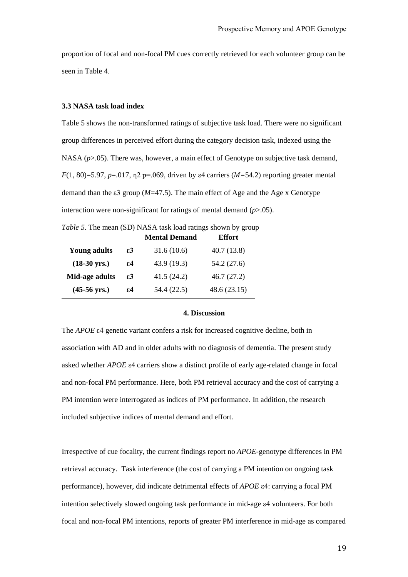proportion of focal and non-focal PM cues correctly retrieved for each volunteer group can be seen in Table 4.

#### **3.3 NASA task load index**

Table 5 shows the non-transformed ratings of subjective task load. There were no significant group differences in perceived effort during the category decision task, indexed using the NASA ( $p$ >.05). There was, however, a main effect of Genotype on subjective task demand, *F*(1, 80)=5.97, *p*=.017, η2 p=.069, driven by ε4 carriers (*M=*54.2) reporting greater mental demand than the ε3 group (*M*=47.5). The main effect of Age and the Age x Genotype interaction were non-significant for ratings of mental demand (*p*>.05).

*Table 5.* The mean (SD) NASA task load ratings shown by group

|                        |    | <b>Mental Demand</b> | <b>Effort</b> |
|------------------------|----|----------------------|---------------|
| <b>Young adults</b>    | ε3 | 31.6(10.6)           | 40.7(13.8)    |
| $(18-30 \text{ yrs.})$ | 54 | 43.9 (19.3)          | 54.2 (27.6)   |
| Mid-age adults         | ε3 | 41.5(24.2)           | 46.7(27.2)    |
| $(45-56 \text{ yrs.})$ | 54 | 54.4 (22.5)          | 48.6(23.15)   |

#### **4. Discussion**

The *APOE* ε4 genetic variant confers a risk for increased cognitive decline, both in association with AD and in older adults with no diagnosis of dementia. The present study asked whether *APOE* ε4 carriers show a distinct profile of early age-related change in focal and non-focal PM performance. Here, both PM retrieval accuracy and the cost of carrying a PM intention were interrogated as indices of PM performance. In addition, the research included subjective indices of mental demand and effort.

Irrespective of cue focality, the current findings report no *APOE-*genotype differences in PM retrieval accuracy. Task interference (the cost of carrying a PM intention on ongoing task performance), however, did indicate detrimental effects of *APOE* ε4: carrying a focal PM intention selectively slowed ongoing task performance in mid-age ε4 volunteers. For both focal and non-focal PM intentions, reports of greater PM interference in mid-age as compared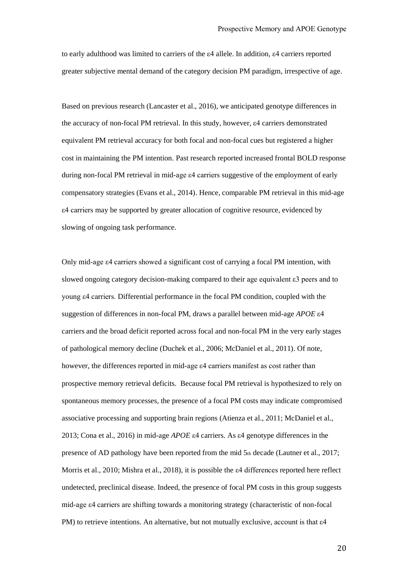to early adulthood was limited to carriers of the ε4 allele. In addition, ε4 carriers reported greater subjective mental demand of the category decision PM paradigm, irrespective of age.

Based on previous research (Lancaster et al., 2016), we anticipated genotype differences in the accuracy of non-focal PM retrieval. In this study, however, ε4 carriers demonstrated equivalent PM retrieval accuracy for both focal and non-focal cues but registered a higher cost in maintaining the PM intention. Past research reported increased frontal BOLD response during non-focal PM retrieval in mid-age ε4 carriers suggestive of the employment of early compensatory strategies (Evans et al., 2014). Hence, comparable PM retrieval in this mid-age ε4 carriers may be supported by greater allocation of cognitive resource, evidenced by slowing of ongoing task performance.

Only mid-age ε4 carriers showed a significant cost of carrying a focal PM intention, with slowed ongoing category decision-making compared to their age equivalent ε3 peers and to young ε4 carriers. Differential performance in the focal PM condition, coupled with the suggestion of differences in non-focal PM, draws a parallel between mid-age *APOE* ε4 carriers and the broad deficit reported across focal and non-focal PM in the very early stages of pathological memory decline (Duchek et al., 2006; McDaniel et al., 2011). Of note, however, the differences reported in mid-age ε4 carriers manifest as cost rather than prospective memory retrieval deficits. Because focal PM retrieval is hypothesized to rely on spontaneous memory processes, the presence of a focal PM costs may indicate compromised associative processing and supporting brain regions (Atienza et al., 2011; McDaniel et al., 2013; Cona et al., 2016) in mid-age *APOE* ε4 carriers. As ε4 genotype differences in the presence of AD pathology have been reported from the mid 5th decade (Lautner et al., 2017; Morris et al., 2010; Mishra et al., 2018), it is possible the ε4 differences reported here reflect undetected, preclinical disease. Indeed, the presence of focal PM costs in this group suggests mid-age ε4 carriers are shifting towards a monitoring strategy (characteristic of non-focal PM) to retrieve intentions. An alternative, but not mutually exclusive, account is that  $\varepsilon$ 4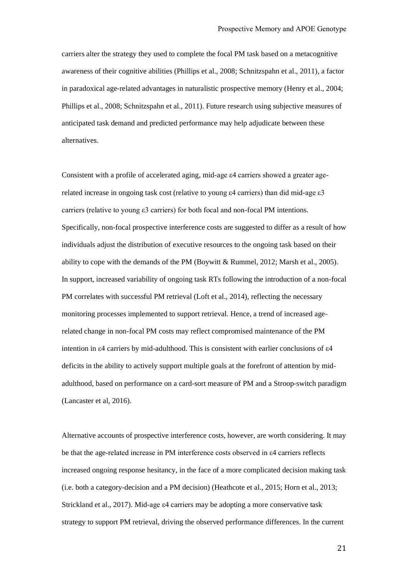carriers alter the strategy they used to complete the focal PM task based on a metacognitive awareness of their cognitive abilities (Phillips et al., 2008; Schnitzspahn et al., 2011), a factor in paradoxical age-related advantages in naturalistic prospective memory (Henry et al., 2004; Phillips et al., 2008; Schnitzspahn et al., 2011). Future research using subjective measures of anticipated task demand and predicted performance may help adjudicate between these alternatives.

Consistent with a profile of accelerated aging, mid-age ε4 carriers showed a greater agerelated increase in ongoing task cost (relative to young ε4 carriers) than did mid-age ε3 carriers (relative to young ε3 carriers) for both focal and non-focal PM intentions. Specifically, non-focal prospective interference costs are suggested to differ as a result of how individuals adjust the distribution of executive resources to the ongoing task based on their ability to cope with the demands of the PM (Boywitt & Rummel, 2012; Marsh et al., 2005). In support, increased variability of ongoing task RTs following the introduction of a non-focal PM correlates with successful PM retrieval (Loft et al., 2014), reflecting the necessary monitoring processes implemented to support retrieval. Hence, a trend of increased agerelated change in non-focal PM costs may reflect compromised maintenance of the PM intention in ε4 carriers by mid-adulthood. This is consistent with earlier conclusions of ε4 deficits in the ability to actively support multiple goals at the forefront of attention by midadulthood, based on performance on a card-sort measure of PM and a Stroop-switch paradigm (Lancaster et al, 2016).

Alternative accounts of prospective interference costs, however, are worth considering. It may be that the age-related increase in PM interference costs observed in ε4 carriers reflects increased ongoing response hesitancy, in the face of a more complicated decision making task (i.e. both a category-decision and a PM decision) (Heathcote et al., 2015; Horn et al., 2013; Strickland et al., 2017). Mid-age ε4 carriers may be adopting a more conservative task strategy to support PM retrieval, driving the observed performance differences. In the current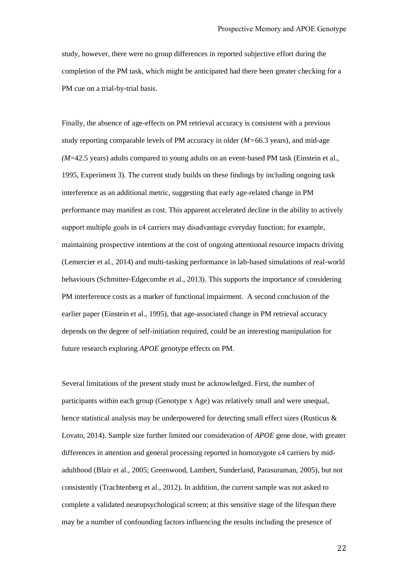study, however, there were no group differences in reported subjective effort during the completion of the PM task, which might be anticipated had there been greater checking for a PM cue on a trial-by-trial basis.

Finally, the absence of age-effects on PM retrieval accuracy is consistent with a previous study reporting comparable levels of PM accuracy in older (*M=*66.3 years), and mid-age *(M*=42.5 years) adults compared to young adults on an event-based PM task (Einstein et al., 1995, Experiment 3). The current study builds on these findings by including ongoing task interference as an additional metric, suggesting that early age-related change in PM performance may manifest as cost. This apparent accelerated decline in the ability to actively support multiple goals in ε4 carriers may disadvantage everyday function; for example, maintaining prospective intentions at the cost of ongoing attentional resource impacts driving (Lemercier et al., 2014) and multi-tasking performance in lab-based simulations of real-world behaviours (Schmitter-Edgecombe et al., 2013). This supports the importance of considering PM interference costs as a marker of functional impairment. A second conclusion of the earlier paper (Einstein et al., 1995), that age-associated change in PM retrieval accuracy depends on the degree of self-initiation required, could be an interesting manipulation for future research exploring *APOE* genotype effects on PM.

Several limitations of the present study must be acknowledged. First, the number of participants within each group (Genotype x Age) was relatively small and were unequal, hence statistical analysis may be underpowered for detecting small effect sizes (Rusticus & Lovato, 2014). Sample size further limited our consideration of *APOE* gene dose, with greater differences in attention and general processing reported in homozygote ε4 carriers by midadulthood (Blair et al., 2005; Greenwood, Lambert, Sunderland, Parasuraman, 2005), but not consistently (Trachtenberg et al., 2012). In addition, the current sample was not asked to complete a validated neuropsychological screen; at this sensitive stage of the lifespan there may be a number of confounding factors influencing the results including the presence of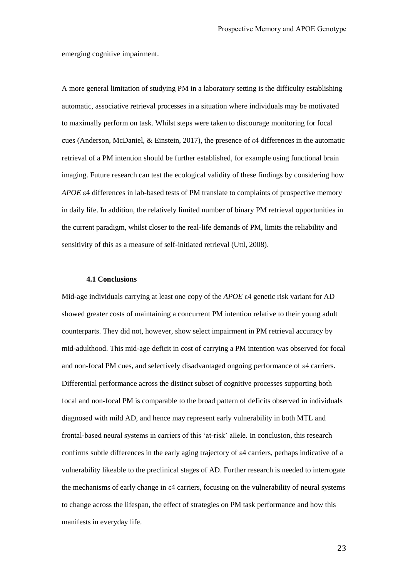emerging cognitive impairment.

A more general limitation of studying PM in a laboratory setting is the difficulty establishing automatic, associative retrieval processes in a situation where individuals may be motivated to maximally perform on task. Whilst steps were taken to discourage monitoring for focal cues (Anderson, McDaniel, & Einstein, 2017), the presence of ε4 differences in the automatic retrieval of a PM intention should be further established, for example using functional brain imaging. Future research can test the ecological validity of these findings by considering how *APOE* ε4 differences in lab-based tests of PM translate to complaints of prospective memory in daily life. In addition, the relatively limited number of binary PM retrieval opportunities in the current paradigm, whilst closer to the real-life demands of PM, limits the reliability and sensitivity of this as a measure of self-initiated retrieval (Uttl, 2008).

#### **4.1 Conclusions**

Mid-age individuals carrying at least one copy of the *APOE* ε4 genetic risk variant for AD showed greater costs of maintaining a concurrent PM intention relative to their young adult counterparts. They did not, however, show select impairment in PM retrieval accuracy by mid-adulthood. This mid-age deficit in cost of carrying a PM intention was observed for focal and non-focal PM cues, and selectively disadvantaged ongoing performance of ε4 carriers. Differential performance across the distinct subset of cognitive processes supporting both focal and non-focal PM is comparable to the broad pattern of deficits observed in individuals diagnosed with mild AD, and hence may represent early vulnerability in both MTL and frontal-based neural systems in carriers of this 'at-risk' allele. In conclusion, this research confirms subtle differences in the early aging trajectory of ε4 carriers, perhaps indicative of a vulnerability likeable to the preclinical stages of AD. Further research is needed to interrogate the mechanisms of early change in ε4 carriers, focusing on the vulnerability of neural systems to change across the lifespan, the effect of strategies on PM task performance and how this manifests in everyday life.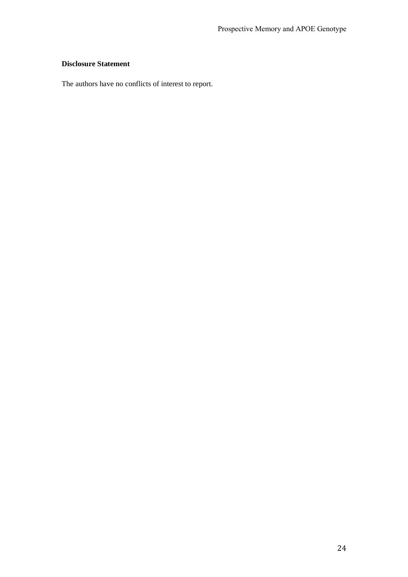# **Disclosure Statement**

The authors have no conflicts of interest to report.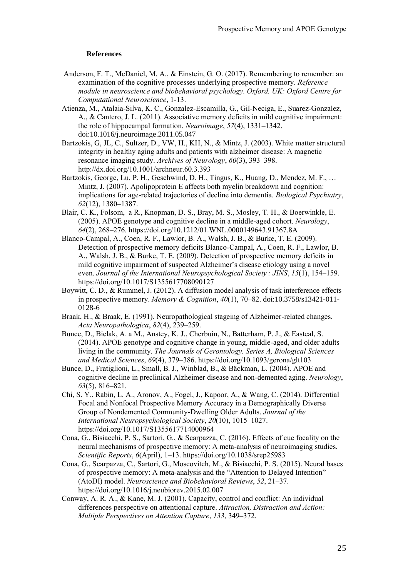#### **References**

- Anderson, F. T., McDaniel, M. A., & Einstein, G. O. (2017). Remembering to remember: an examination of the cognitive processes underlying prospective memory. *Reference module in neuroscience and biobehavioral psychology. Oxford, UK: Oxford Centre for Computational Neuroscience*, 1-13.
- Atienza, M., Atalaia-Silva, K. C., Gonzalez-Escamilla, G., Gil-Neciga, E., Suarez-Gonzalez, A., & Cantero, J. L. (2011). Associative memory deficits in mild cognitive impairment: the role of hippocampal formation. *Neuroimage*, *57*(4), 1331–1342. doi:10.1016/j.neuroimage.2011.05.047
- Bartzokis, G, JL, C., Sultzer, D., VW, H., KH, N., & Mintz, J. (2003). White matter structural integrity in healthy aging adults and patients with alzheimer disease: A magnetic resonance imaging study. *Archives of Neurology*, *60*(3), 393–398. http://dx.doi.org/10.1001/archneur.60.3.393
- Bartzokis, George, Lu, P. H., Geschwind, D. H., Tingus, K., Huang, D., Mendez, M. F., … Mintz, J. (2007). Apolipoprotein E affects both myelin breakdown and cognition: implications for age-related trajectories of decline into dementia. *Biological Psychiatry*, *62*(12), 1380–1387.
- Blair, C. K., Folsom, a R., Knopman, D. S., Bray, M. S., Mosley, T. H., & Boerwinkle, E. (2005). APOE genotype and cognitive decline in a middle-aged cohort. *Neurology*, *64*(2), 268–276. https://doi.org/10.1212/01.WNL.0000149643.91367.8A
- Blanco-Campal, A., Coen, R. F., Lawlor, B. A., Walsh, J. B., & Burke, T. E. (2009). Detection of prospective memory deficits Blanco-Campal, A., Coen, R. F., Lawlor, B. A., Walsh, J. B., & Burke, T. E. (2009). Detection of prospective memory deficits in mild cognitive impairment of suspected Alzheimer's disease etiology using a novel even. *Journal of the International Neuropsychological Society : JINS*, *15*(1), 154–159. https://doi.org/10.1017/S1355617708090127
- Boywitt, C. D., & Rummel, J. (2012). A diffusion model analysis of task interference effects in prospective memory. *Memory & Cognition*, *40*(1), 70–82. doi:10.3758/s13421-011- 0128-6
- Braak, H., & Braak, E. (1991). Neuropathological stageing of Alzheimer-related changes. *Acta Neuropathologica*, *82*(4), 239–259.
- Bunce, D., Bielak, A. a M., Anstey, K. J., Cherbuin, N., Batterham, P. J., & Easteal, S. (2014). APOE genotype and cognitive change in young, middle-aged, and older adults living in the community. *The Journals of Gerontology. Series A, Biological Sciences and Medical Sciences*, *69*(4), 379–386. https://doi.org/10.1093/gerona/glt103
- Bunce, D., Fratiglioni, L., Small, B. J., Winblad, B., & Bäckman, L. (2004). APOE and cognitive decline in preclinical Alzheimer disease and non-demented aging. *Neurology*, *63*(5), 816–821.
- Chi, S. Y., Rabin, L. A., Aronov, A., Fogel, J., Kapoor, A., & Wang, C. (2014). Differential Focal and Nonfocal Prospective Memory Accuracy in a Demographically Diverse Group of Nondemented Community-Dwelling Older Adults. *Journal of the International Neuropsychological Society*, *20*(10), 1015–1027. https://doi.org/10.1017/S1355617714000964
- Cona, G., Bisiacchi, P. S., Sartori, G., & Scarpazza, C. (2016). Effects of cue focality on the neural mechanisms of prospective memory: A meta-analysis of neuroimaging studies. *Scientific Reports*, *6*(April), 1–13. https://doi.org/10.1038/srep25983
- Cona, G., Scarpazza, C., Sartori, G., Moscovitch, M., & Bisiacchi, P. S. (2015). Neural bases of prospective memory: A meta-analysis and the "Attention to Delayed Intention" (AtoDI) model. *Neuroscience and Biobehavioral Reviews*, *52*, 21–37. https://doi.org/10.1016/j.neubiorev.2015.02.007
- Conway, A. R. A., & Kane, M. J. (2001). Capacity, control and conflict: An individual differences perspective on attentional capture. *Attraction, Distraction and Action: Multiple Perspectives on Attention Capture*, *133*, 349–372.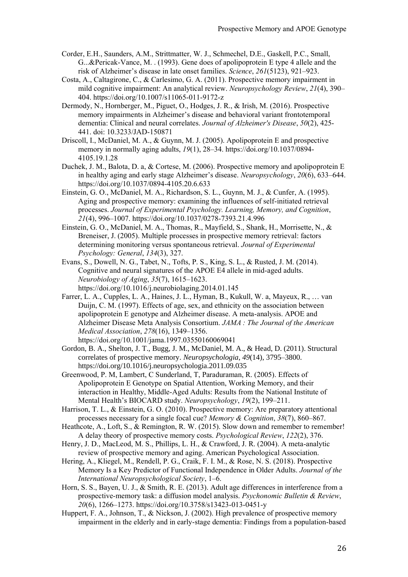- Corder, E.H., Saunders, A.M., Strittmatter, W. J., Schmechel, D.E., Gaskell, P.C., Small, G...&Pericak-Vance, M. . (1993). Gene does of apolipoprotein E type 4 allele and the risk of Alzheimer's disease in late onset families. *Science*, *261*(5123), 921–923.
- Costa, A., Caltagirone, C., & Carlesimo, G. A. (2011). Prospective memory impairment in mild cognitive impairment: An analytical review. *Neuropsychology Review*, *21*(4), 390– 404. https://doi.org/10.1007/s11065-011-9172-z
- Dermody, N., Hornberger, M., Piguet, O., Hodges, J. R., & Irish, M. (2016). Prospective memory impairments in Alzheimer's disease and behavioral variant frontotemporal dementia: Clinical and neural correlates. *Journal of Alzheimer's Disease*, *50*(2), 425- 441. doi: 10.3233/JAD-150871
- Driscoll, I., McDaniel, M. A., & Guynn, M. J. (2005). Apolipoprotein E and prospective memory in normally aging adults, *19*(1), 28–34. https://doi.org/10.1037/0894- 4105.19.1.28
- Duchek, J. M., Balota, D. a, & Cortese, M. (2006). Prospective memory and apolipoprotein E in healthy aging and early stage Alzheimer's disease. *Neuropsychology*, *20*(6), 633–644. https://doi.org/10.1037/0894-4105.20.6.633
- Einstein, G. O., McDaniel, M. A., Richardson, S. L., Guynn, M. J., & Cunfer, A. (1995). Aging and prospective memory: examining the influences of self-initiated retrieval processes. *Journal of Experimental Psychology. Learning, Memory, and Cognition*, *21*(4), 996–1007. https://doi.org/10.1037/0278-7393.21.4.996
- Einstein, G. O., McDaniel, M. A., Thomas, R., Mayfield, S., Shank, H., Morrisette, N., & Breneiser, J. (2005). Multiple processes in prospective memory retrieval: factors determining monitoring versus spontaneous retrieval. *Journal of Experimental Psychology: General*, *134*(3), 327.
- Evans, S., Dowell, N. G., Tabet, N., Tofts, P. S., King, S. L., & Rusted, J. M. (2014). Cognitive and neural signatures of the APOE E4 allele in mid-aged adults. *Neurobiology of Aging*, *35*(7), 1615–1623. https://doi.org/10.1016/j.neurobiolaging.2014.01.145
- Farrer, L. A., Cupples, L. A., Haines, J. L., Hyman, B., Kukull, W. a, Mayeux, R., … van Duijn, C. M. (1997). Effects of age, sex, and ethnicity on the association between apolipoprotein E genotype and Alzheimer disease. A meta-analysis. APOE and Alzheimer Disease Meta Analysis Consortium. *JAMA : The Journal of the American Medical Association*, *278*(16), 1349–1356. https://doi.org/10.1001/jama.1997.03550160069041
- Gordon, B. A., Shelton, J. T., Bugg, J. M., McDaniel, M. A., & Head, D. (2011). Structural correlates of prospective memory. *Neuropsychologia*, *49*(14), 3795–3800. https://doi.org/10.1016/j.neuropsychologia.2011.09.035
- Greenwood, P. M, Lambert, C Sunderland, T, Paraduraman, R. (2005). Effects of Apolipoprotein E Genotype on Spatial Attention, Working Memory, and their interaction in Healthy, Middle-Aged Adults: Results from the National Institute of Mental Health's BIOCARD study. *Neuropsychology*, *19*(2), 199–211.
- Harrison, T. L., & Einstein, G. O. (2010). Prospective memory: Are preparatory attentional processes necessary for a single focal cue? *Memory & Cognition*, *38*(7), 860–867.
- Heathcote, A., Loft, S., & Remington, R. W. (2015). Slow down and remember to remember! A delay theory of prospective memory costs. *Psychological Review*, *122*(2), 376.
- Henry, J. D., MacLeod, M. S., Phillips, L. H., & Crawford, J. R. (2004). A meta-analytic review of prospective memory and aging. American Psychological Association.
- Hering, A., Kliegel, M., Rendell, P. G., Craik, F. I. M., & Rose, N. S. (2018). Prospective Memory Is a Key Predictor of Functional Independence in Older Adults. *Journal of the International Neuropsychological Society*, 1–6.
- Horn, S. S., Bayen, U. J., & Smith, R. E. (2013). Adult age differences in interference from a prospective-memory task: a diffusion model analysis. *Psychonomic Bulletin & Review*, *20*(6), 1266–1273. https://doi.org/10.3758/s13423-013-0451-y
- Huppert, F. A., Johnson, T., & Nickson, J. (2002). High prevalence of prospective memory impairment in the elderly and in early-stage dementia: Findings from a population-based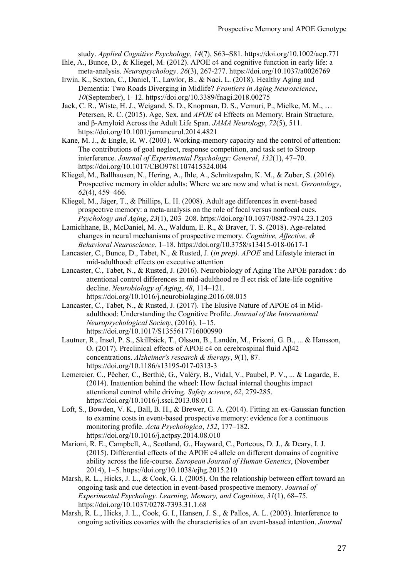study. *Applied Cognitive Psychology*, *14*(7), S63–S81. https://doi.org/10.1002/acp.771

- Ihle, A., Bunce, D., & Kliegel, M. (2012). APOE ε4 and cognitive function in early life: a meta-analysis. *Neuropsychology*. *26*(3), 267-277. https://doi.org/10.1037/a0026769
- Irwin, K., Sexton, C., Daniel, T., Lawlor, B., & Naci, L. (2018). Healthy Aging and Dementia: Two Roads Diverging in Midlife? *Frontiers in Aging Neuroscience*, *10*(September), 1–12. https://doi.org/10.3389/fnagi.2018.00275
- Jack, C. R., Wiste, H. J., Weigand, S. D., Knopman, D. S., Vemuri, P., Mielke, M. M., … Petersen, R. C. (2015). Age, Sex, and *APOE* ε4 Effects on Memory, Brain Structure, and β-Amyloid Across the Adult Life Span. *JAMA Neurology*, *72*(5), 511. https://doi.org/10.1001/jamaneurol.2014.4821
- Kane, M. J., & Engle, R. W. (2003). Working-memory capacity and the control of attention: The contributions of goal neglect, response competition, and task set to Stroop interference. *Journal of Experimental Psychology: General*, *132*(1), 47–70. https://doi.org/10.1017/CBO9781107415324.004
- Kliegel, M., Ballhausen, N., Hering, A., Ihle, A., Schnitzspahn, K. M., & Zuber, S. (2016). Prospective memory in older adults: Where we are now and what is next. *Gerontology*, *62*(4), 459–466.
- Kliegel, M., Jäger, T., & Phillips, L. H. (2008). Adult age differences in event-based prospective memory: a meta-analysis on the role of focal versus nonfocal cues. *Psychology and Aging*, *23*(1), 203–208. https://doi.org/10.1037/0882-7974.23.1.203
- Lamichhane, B., McDaniel, M. A., Waldum, E. R., & Braver, T. S. (2018). Age-related changes in neural mechanisms of prospective memory. *Cognitive, Affective, & Behavioral Neuroscience*, 1–18. https://doi.org/10.3758/s13415-018-0617-1
- Lancaster, C., Bunce, D., Tabet, N., & Rusted, J. (*in prep). APOE* and Lifestyle interact in mid-adulthood: effects on executive attention
- Lancaster, C., Tabet, N., & Rusted, J. (2016). Neurobiology of Aging The APOE paradox : do attentional control differences in mid-adulthood re fl ect risk of late-life cognitive decline. *Neurobiology of Aging*, *48*, 114–121. https://doi.org/10.1016/j.neurobiolaging.2016.08.015
- Lancaster, C., Tabet, N., & Rusted, J. (2017). The Elusive Nature of APOE ε4 in Midadulthood: Understanding the Cognitive Profile. *Journal of the International Neuropsychological Society*, (2016), 1–15. https://doi.org/10.1017/S1355617716000990
- Lautner, R., Insel, P. S., Skillbäck, T., Olsson, B., Landén, M., Frisoni, G. B., ... & Hansson, O. (2017). Preclinical effects of APOE ε4 on cerebrospinal fluid Aβ42 concentrations. *Alzheimer's research & therapy*, *9*(1), 87. https://doi.org/10.1186/s13195-017-0313-3
- Lemercier, C., Pêcher, C., Berthié, G., Valéry, B., Vidal, V., Paubel, P. V., ... & Lagarde, E. (2014). Inattention behind the wheel: How factual internal thoughts impact attentional control while driving. *Safety science*, *62*, 279-285. https://doi.org/10.1016/j.ssci.2013.08.011
- Loft, S., Bowden, V. K., Ball, B. H., & Brewer, G. A. (2014). Fitting an ex-Gaussian function to examine costs in event-based prospective memory: evidence for a continuous monitoring profile. *Acta Psychologica*, *152*, 177–182. https://doi.org/10.1016/j.actpsy.2014.08.010
- Marioni, R. E., Campbell, A., Scotland, G., Hayward, C., Porteous, D. J., & Deary, I. J. (2015). Differential effects of the APOE e4 allele on different domains of cognitive ability across the life-course. *European Journal of Human Genetics*, (November 2014), 1–5. https://doi.org/10.1038/ejhg.2015.210
- Marsh, R. L., Hicks, J. L., & Cook, G. I. (2005). On the relationship between effort toward an ongoing task and cue detection in event-based prospective memory. *Journal of Experimental Psychology. Learning, Memory, and Cognition*, *31*(1), 68–75. https://doi.org/10.1037/0278-7393.31.1.68
- Marsh, R. L., Hicks, J. L., Cook, G. I., Hansen, J. S., & Pallos, A. L. (2003). Interference to ongoing activities covaries with the characteristics of an event-based intention. *Journal*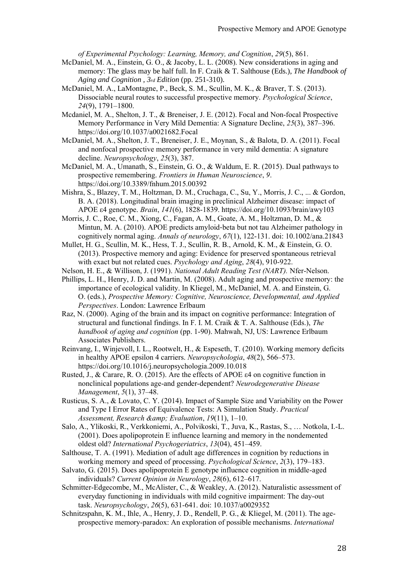*of Experimental Psychology: Learning, Memory, and Cognition*, *29*(5), 861.

- McDaniel, M. A., Einstein, G. O., & Jacoby, L. L. (2008). New considerations in aging and memory: The glass may be half full. In F. Craik & T. Salthouse (Eds.), *The Handbook of Aging and Cognition , 3rd Edition* (pp. 251-310).
- McDaniel, M. A., LaMontagne, P., Beck, S. M., Scullin, M. K., & Braver, T. S. (2013). Dissociable neural routes to successful prospective memory. *Psychological Science*, *24*(9), 1791–1800.
- Mcdaniel, M. A., Shelton, J. T., & Breneiser, J. E. (2012). Focal and Non-focal Prospective Memory Performance in Very Mild Dementia: A Signature Decline, *25*(3), 387–396. https://doi.org/10.1037/a0021682.Focal
- McDaniel, M. A., Shelton, J. T., Breneiser, J. E., Moynan, S., & Balota, D. A. (2011). Focal and nonfocal prospective memory performance in very mild dementia: A signature decline. *Neuropsychology*, *25*(3), 387.
- McDaniel, M. A., Umanath, S., Einstein, G. O., & Waldum, E. R. (2015). Dual pathways to prospective remembering. *Frontiers in Human Neuroscience*, *9*. https://doi.org/10.3389/fnhum.2015.00392
- Mishra, S., Blazey, T. M., Holtzman, D. M., Cruchaga, C., Su, Y., Morris, J. C., ... & Gordon, B. A. (2018). Longitudinal brain imaging in preclinical Alzheimer disease: impact of APOE ε4 genotype. *Brain*, *141*(6), 1828-1839. https://doi.org/10.1093/brain/awy103
- Morris, J. C., Roe, C. M., Xiong, C., Fagan, A. M., Goate, A. M., Holtzman, D. M., & Mintun, M. A. (2010). APOE predicts amyloid‐beta but not tau Alzheimer pathology in cognitively normal aging. *Annals of neurology*, *67*(1), 122-131. doi: 10.1002/ana.21843
- Mullet, H. G., Scullin, M. K., Hess, T. J., Scullin, R. B., Arnold, K. M., & Einstein, G. O. (2013). Prospective memory and aging: Evidence for preserved spontaneous retrieval with exact but not related cues. *Psychology and Aging*, *28*(4), 910-922.
- Nelson, H. E., & Willison, J. (1991). *National Adult Reading Test (NART).* Nfer-Nelson.
- Phillips, L. H., Henry, J. D. and Martin, M. (2008). Adult aging and prospective memory: the importance of ecological validity. In Kliegel, M., McDaniel, M. A. and Einstein, G. O. (eds.), *Prospective Memory: Cognitive, Neuroscience, Developmental, and Applied Perspectives*. London: Lawrence Erlbaum
- Raz, N. (2000). Aging of the brain and its impact on cognitive performance: Integration of structural and functional findings. In F. I. M. Craik & T. A. Salthouse (Eds.), *The handbook of aging and cognition* (pp. 1-90). Mahwah, NJ, US: Lawrence Erlbaum Associates Publishers.
- Reinvang, I., Winjevoll, I. L., Rootwelt, H., & Espeseth, T. (2010). Working memory deficits in healthy APOE epsilon 4 carriers. *Neuropsychologia*, *48*(2), 566–573. https://doi.org/10.1016/j.neuropsychologia.2009.10.018
- Rusted, J., & Carare, R. O. (2015). Are the effects of APOE ε4 on cognitive function in nonclinical populations age-and gender-dependent? *Neurodegenerative Disease Management*, *5*(1), 37–48.
- Rusticus, S. A., & Lovato, C. Y. (2014). Impact of Sample Size and Variability on the Power and Type I Error Rates of Equivalence Tests: A Simulation Study. *Practical Assessment, Research & Evaluation*, *19*(11), 1–10.
- Salo, A., Ylikoski, R., Verkkoniemi, A., Polvikoski, T., Juva, K., Rastas, S., … Notkola, I.-L. (2001). Does apolipoprotein E influence learning and memory in the nondemented oldest old? *International Psychogeriatrics*, *13*(04), 451–459.
- Salthouse, T. A. (1991). Mediation of adult age differences in cognition by reductions in working memory and speed of processing. *Psychological Science*, *2*(3), 179–183.
- Salvato, G. (2015). Does apolipoprotein E genotype influence cognition in middle-aged individuals? *Current Opinion in Neurology*, *28*(6), 612–617.
- Schmitter-Edgecombe, M., McAlister, C., & Weakley, A. (2012). Naturalistic assessment of everyday functioning in individuals with mild cognitive impairment: The day-out task. *Neuropsychology*, *26*(5), 631-641. doi: 10.1037/a0029352
- Schnitzspahn, K. M., Ihle, A., Henry, J. D., Rendell, P. G., & Kliegel, M. (2011). The ageprospective memory-paradox: An exploration of possible mechanisms. *International*